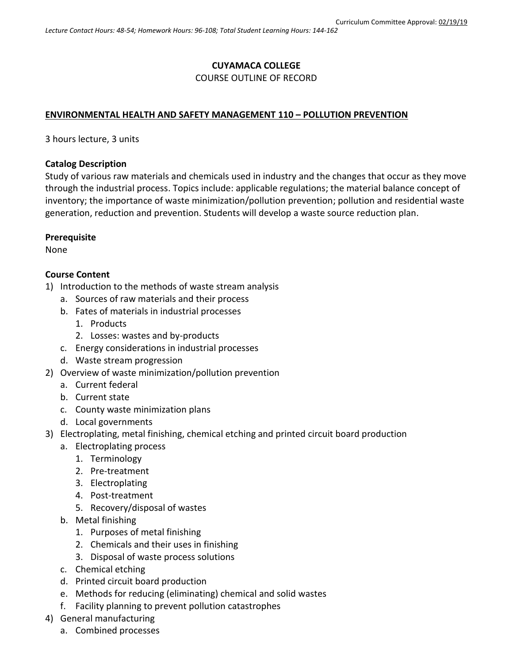#### **CUYAMACA COLLEGE** COURSE OUTLINE OF RECORD

# **ENVIRONMENTAL HEALTH AND SAFETY MANAGEMENT 110 – POLLUTION PREVENTION**

3 hours lecture, 3 units

#### **Catalog Description**

Study of various raw materials and chemicals used in industry and the changes that occur as they move through the industrial process. Topics include: applicable regulations; the material balance concept of inventory; the importance of waste minimization/pollution prevention; pollution and residential waste generation, reduction and prevention. Students will develop a waste source reduction plan.

# **Prerequisite**

None

# **Course Content**

- 1) Introduction to the methods of waste stream analysis
	- a. Sources of raw materials and their process
	- b. Fates of materials in industrial processes
		- 1. Products
		- 2. Losses: wastes and by-products
	- c. Energy considerations in industrial processes
	- d. Waste stream progression
- 2) Overview of waste minimization/pollution prevention
	- a. Current federal
	- b. Current state
	- c. County waste minimization plans
	- d. Local governments
- 3) Electroplating, metal finishing, chemical etching and printed circuit board production
	- a. Electroplating process
		- 1. Terminology
		- 2. Pre-treatment
		- 3. Electroplating
		- 4. Post-treatment
		- 5. Recovery/disposal of wastes
	- b. Metal finishing
		- 1. Purposes of metal finishing
		- 2. Chemicals and their uses in finishing
		- 3. Disposal of waste process solutions
	- c. Chemical etching
	- d. Printed circuit board production
	- e. Methods for reducing (eliminating) chemical and solid wastes
	- f. Facility planning to prevent pollution catastrophes
- 4) General manufacturing
	- a. Combined processes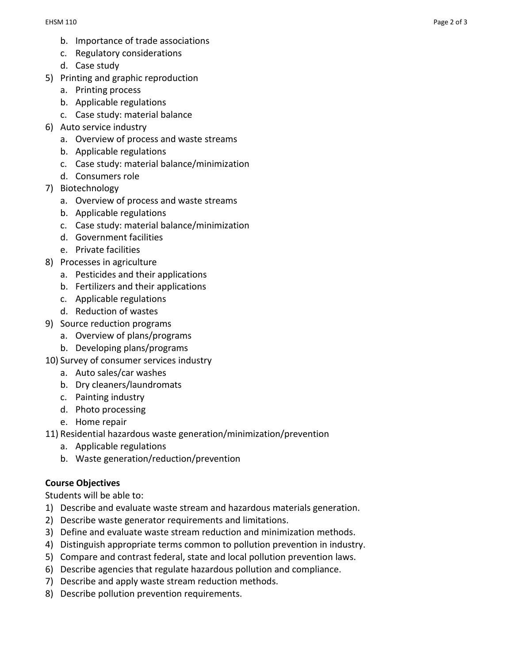- b. Importance of trade associations
- c. Regulatory considerations
- d. Case study
- 5) Printing and graphic reproduction
	- a. Printing process
	- b. Applicable regulations
	- c. Case study: material balance
- 6) Auto service industry
	- a. Overview of process and waste streams
	- b. Applicable regulations
	- c. Case study: material balance/minimization
	- d. Consumers role
- 7) Biotechnology
	- a. Overview of process and waste streams
	- b. Applicable regulations
	- c. Case study: material balance/minimization
	- d. Government facilities
	- e. Private facilities
- 8) Processes in agriculture
	- a. Pesticides and their applications
	- b. Fertilizers and their applications
	- c. Applicable regulations
	- d. Reduction of wastes
- 9) Source reduction programs
	- a. Overview of plans/programs
	- b. Developing plans/programs
- 10) Survey of consumer services industry
	- a. Auto sales/car washes
	- b. Dry cleaners/laundromats
	- c. Painting industry
	- d. Photo processing
	- e. Home repair
- 11) Residential hazardous waste generation/minimization/prevention
	- a. Applicable regulations
	- b. Waste generation/reduction/prevention

# **Course Objectives**

Students will be able to:

- 1) Describe and evaluate waste stream and hazardous materials generation.
- 2) Describe waste generator requirements and limitations.
- 3) Define and evaluate waste stream reduction and minimization methods.
- 4) Distinguish appropriate terms common to pollution prevention in industry.
- 5) Compare and contrast federal, state and local pollution prevention laws.
- 6) Describe agencies that regulate hazardous pollution and compliance.
- 7) Describe and apply waste stream reduction methods.
- 8) Describe pollution prevention requirements.